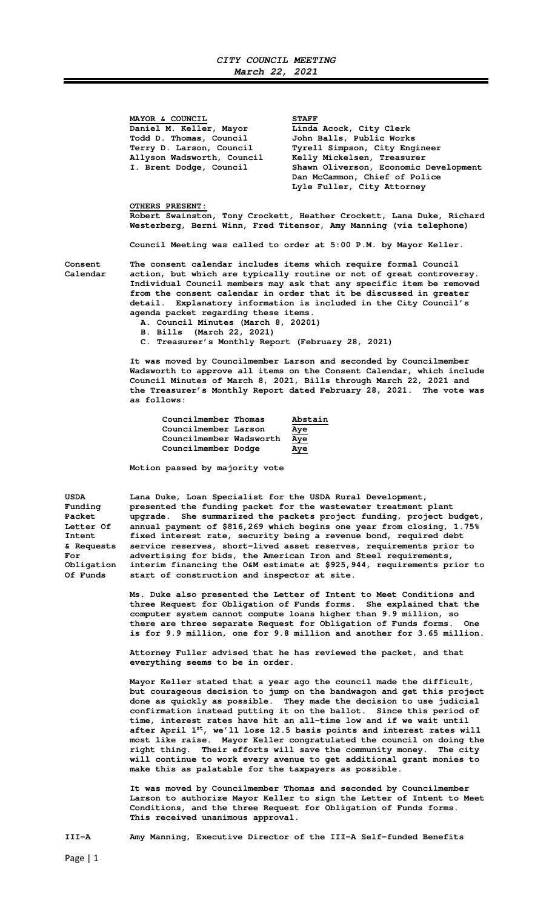**MAYOR & COUNCIL** STAFF Daniel M. Keller, Mayor **Linda Acock, City Clerk Todd D. Thomas, Council John Balls, Public Works** 

 **Terry D. Larson, Council Tyrell Simpson, City Engineer Allyson Wadsworth, Council Kelly Mickelsen, Treasurer**  Shawn Oliverson, Economic Development  **Dan McCammon, Chief of Police Lyle Fuller, City Attorney** 

## **OTHERS PRESENT:**

**Robert Swainston, Tony Crockett, Heather Crockett, Lana Duke, Richard Westerberg, Berni Winn, Fred Titensor, Amy Manning (via telephone)** 

**Council Meeting was called to order at 5:00 P.M. by Mayor Keller.** 

**Consent The consent calendar includes items which require formal Council Calendar action, but which are typically routine or not of great controversy. Individual Council members may ask that any specific item be removed from the consent calendar in order that it be discussed in greater detail. Explanatory information is included in the City Council's agenda packet regarding these items.** 

- **A. Council Minutes (March 8, 20201)**
- **B. Bills (March 22, 2021)**

**C. Treasurer's Monthly Report (February 28, 2021)** 

 **It was moved by Councilmember Larson and seconded by Councilmember Wadsworth to approve all items on the Consent Calendar, which include Council Minutes of March 8, 2021, Bills through March 22, 2021 and the Treasurer's Monthly Report dated February 28, 2021. The vote was as follows:** 

| Councilmember Thomas    | Abstain    |
|-------------------------|------------|
| Councilmember Larson    | <u>Aye</u> |
| Councilmember Wadsworth | <u>Aye</u> |
| Councilmember Dodge     | Aye        |

 **Motion passed by majority vote** 

| USDA             | Lana Duke, Loan Specialist for the USDA Rural Development,             |
|------------------|------------------------------------------------------------------------|
| Fundina          | presented the funding packet for the wastewater treatment plant        |
| Packet           | upgrade. She summarized the packets project funding, project budget,   |
| <b>Letter Of</b> | annual payment of \$816,269 which begins one year from closing, 1.75%  |
| Intent           | fixed interest rate, security being a revenue bond, required debt      |
| & Requests       | service reserves, short-lived asset reserves, requirements prior to    |
| For              | advertising for bids, the American Iron and Steel requirements,        |
| Obligation       | interim financing the O&M estimate at \$925,944, requirements prior to |
| Of Funds         | start of construction and inspector at site.                           |
|                  |                                                                        |

 **Ms. Duke also presented the Letter of Intent to Meet Conditions and three Request for Obligation of Funds forms. She explained that the computer system cannot compute loans higher than 9.9 million, so there are three separate Request for Obligation of Funds forms. One is for 9.9 million, one for 9.8 million and another for 3.65 million.** 

 **Attorney Fuller advised that he has reviewed the packet, and that everything seems to be in order.** 

 **Mayor Keller stated that a year ago the council made the difficult, but courageous decision to jump on the bandwagon and get this project done as quickly as possible. They made the decision to use judicial confirmation instead putting it on the ballot. Since this period of time, interest rates have hit an all-time low and if we wait until after April 1st, we'll lose 12.5 basis points and interest rates will most like raise. Mayor Keller congratulated the council on doing the right thing. Their efforts will save the community money. The city will continue to work every avenue to get additional grant monies to make this as palatable for the taxpayers as possible.** 

 **It was moved by Councilmember Thomas and seconded by Councilmember Larson to authorize Mayor Keller to sign the Letter of Intent to Meet Conditions, and the three Request for Obligation of Funds forms. This received unanimous approval.** 

**III-A Amy Manning, Executive Director of the III-A Self-funded Benefits**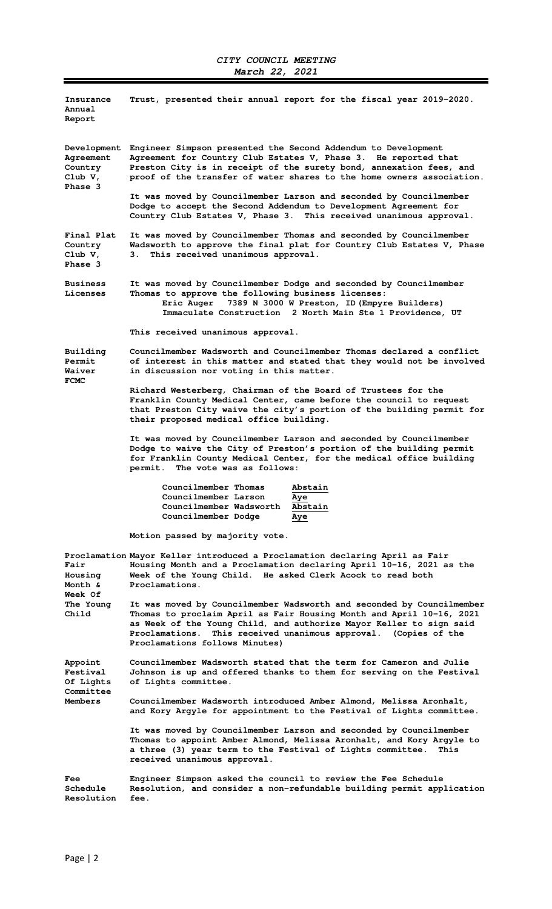| Insurance<br>Annual<br>Report                               | Trust, presented their annual report for the fiscal year 2019-2020.                                                                                                                                                                                                                                                          |
|-------------------------------------------------------------|------------------------------------------------------------------------------------------------------------------------------------------------------------------------------------------------------------------------------------------------------------------------------------------------------------------------------|
| Development<br>Agreement<br>Country<br>Club V,<br>Phase 3   | Engineer Simpson presented the Second Addendum to Development<br>Agreement for Country Club Estates V, Phase 3. He reported that<br>Preston City is in receipt of the surety bond, annexation fees, and<br>proof of the transfer of water shares to the home owners association.                                             |
|                                                             | It was moved by Councilmember Larson and seconded by Councilmember<br>Dodge to accept the Second Addendum to Development Agreement for<br>Country Club Estates V, Phase 3. This received unanimous approval.                                                                                                                 |
| Final Plat<br>Country<br>Club V,<br>Phase 3                 | It was moved by Councilmember Thomas and seconded by Councilmember<br>Wadsworth to approve the final plat for Country Club Estates V, Phase<br>3. This received unanimous approval.                                                                                                                                          |
| <b>Business</b><br>Licenses                                 | It was moved by Councilmember Dodge and seconded by Councilmember<br>Thomas to approve the following business licenses:<br>Eric Auger 7389 N 3000 W Preston, ID (Empyre Builders)<br>Immaculate Construction 2 North Main Ste 1 Providence, UT                                                                               |
|                                                             | This received unanimous approval.                                                                                                                                                                                                                                                                                            |
| Building<br>Permit<br>Waiver<br><b>FCMC</b>                 | Councilmember Wadsworth and Councilmember Thomas declared a conflict<br>of interest in this matter and stated that they would not be involved<br>in discussion nor voting in this matter.                                                                                                                                    |
|                                                             | Richard Westerberg, Chairman of the Board of Trustees for the<br>Franklin County Medical Center, came before the council to request<br>that Preston City waive the city's portion of the building permit for<br>their proposed medical office building.                                                                      |
|                                                             | It was moved by Councilmember Larson and seconded by Councilmember<br>Dodge to waive the City of Preston's portion of the building permit<br>for Franklin County Medical Center, for the medical office building<br>permit. The vote was as follows:                                                                         |
|                                                             | Councilmember Thomas<br>Abstain<br>Councilmember Larson<br>Aye<br>Councilmember Wadsworth<br>Abstain<br>Councilmember Dodge<br>Aye                                                                                                                                                                                           |
|                                                             | Motion passed by majority vote.                                                                                                                                                                                                                                                                                              |
| Fair<br>Housing<br>Month &<br>Week Of<br>The Young<br>Child | Proclamation Mayor Keller introduced a Proclamation declaring April as Fair<br>Housing Month and a Proclamation declaring April 10-16, 2021 as the<br>Week of the Young Child. He asked Clerk Acock to read both<br>Proclamations.                                                                                           |
|                                                             | It was moved by Councilmember Wadsworth and seconded by Councilmember<br>Thomas to proclaim April as Fair Housing Month and April 10-16, 2021<br>as Week of the Young Child, and authorize Mayor Keller to sign said<br>This received unanimous approval. (Copies of the<br>Proclamations.<br>Proclamations follows Minutes) |
| Appoint<br>Festival<br>Of Lights<br>Committee<br>Members    | Councilmember Wadsworth stated that the term for Cameron and Julie<br>Johnson is up and offered thanks to them for serving on the Festival<br>of Lights committee.                                                                                                                                                           |
|                                                             | Councilmember Wadsworth introduced Amber Almond, Melissa Aronhalt,<br>and Kory Argyle for appointment to the Festival of Lights committee.                                                                                                                                                                                   |
|                                                             | It was moved by Councilmember Larson and seconded by Councilmember<br>Thomas to appoint Amber Almond, Melissa Aronhalt, and Kory Argyle to<br>a three (3) year term to the Festival of Lights committee.<br>This<br>received unanimous approval.                                                                             |
| Fee<br>Schedule<br>Resolution                               | Engineer Simpson asked the council to review the Fee Schedule<br>Resolution, and consider a non-refundable building permit application<br>fee.                                                                                                                                                                               |